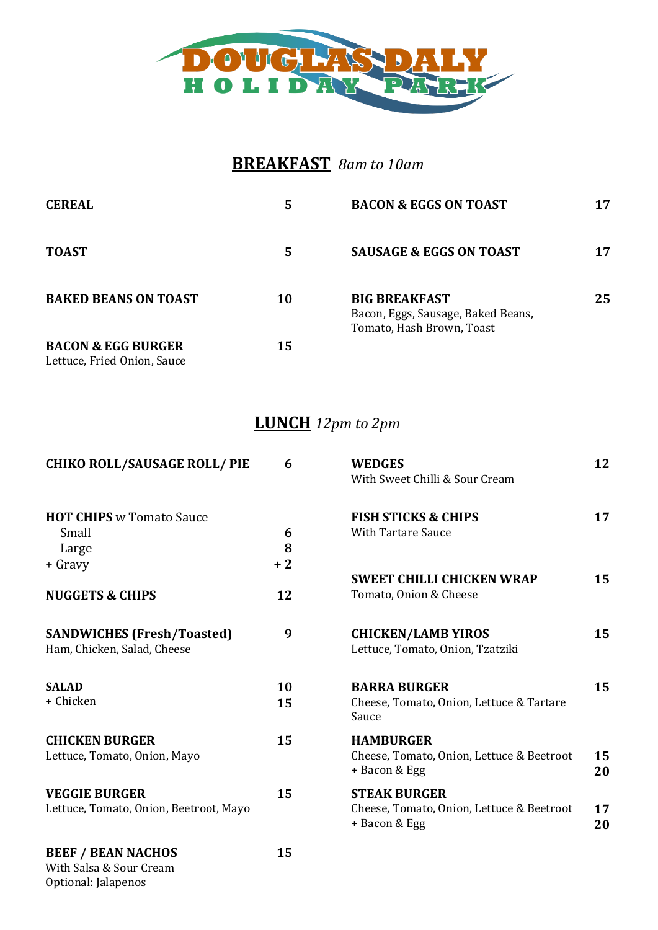

## **BREAKFAST** *8am to 10am*

| <b>CEREAL</b>                                                | 5  | <b>BACON &amp; EGGS ON TOAST</b>                                                        | 17 |
|--------------------------------------------------------------|----|-----------------------------------------------------------------------------------------|----|
| <b>TOAST</b>                                                 | 5  | <b>SAUSAGE &amp; EGGS ON TOAST</b>                                                      | 17 |
| <b>BAKED BEANS ON TOAST</b>                                  | 10 | <b>BIG BREAKFAST</b><br>Bacon, Eggs, Sausage, Baked Beans,<br>Tomato, Hash Brown, Toast | 25 |
| <b>BACON &amp; EGG BURGER</b><br>Lettuce, Fried Onion, Sauce | 15 |                                                                                         |    |

## **LUNCH** *12pm to 2pm*

| <b>CHIKO ROLL/SAUSAGE ROLL/ PIE</b>    | 6    | <b>WEDGES</b><br>With Sweet Chilli & Sour Cream            | 12       |
|----------------------------------------|------|------------------------------------------------------------|----------|
| <b>HOT CHIPS</b> w Tomato Sauce        |      | <b>FISH STICKS &amp; CHIPS</b>                             | 17       |
| Small                                  | 6    | <b>With Tartare Sauce</b>                                  |          |
| Large                                  | 8    |                                                            |          |
| + Gravy                                | $+2$ |                                                            |          |
|                                        |      | <b>SWEET CHILLI CHICKEN WRAP</b>                           | 15       |
| <b>NUGGETS &amp; CHIPS</b>             | 12   | Tomato, Onion & Cheese                                     |          |
| <b>SANDWICHES (Fresh/Toasted)</b>      | 9    | <b>CHICKEN/LAMB YIROS</b>                                  | 15       |
| Ham, Chicken, Salad, Cheese            |      | Lettuce, Tomato, Onion, Tzatziki                           |          |
| <b>SALAD</b>                           | 10   | <b>BARRA BURGER</b>                                        | 15       |
| + Chicken                              | 15   | Cheese, Tomato, Onion, Lettuce & Tartare<br>Sauce          |          |
| <b>CHICKEN BURGER</b>                  | 15   | <b>HAMBURGER</b>                                           |          |
| Lettuce, Tomato, Onion, Mayo           |      | Cheese, Tomato, Onion, Lettuce & Beetroot<br>+ Bacon & Egg | 15<br>20 |
| <b>VEGGIE BURGER</b>                   | 15   | <b>STEAK BURGER</b>                                        |          |
| Lettuce, Tomato, Onion, Beetroot, Mayo |      | Cheese, Tomato, Onion, Lettuce & Beetroot<br>+ Bacon & Egg | 17<br>20 |
| <b>BEEF / BEAN NACHOS</b>              | 15   |                                                            |          |
| With Salsa & Sour Cream                |      |                                                            |          |

Optional: Jalapenos